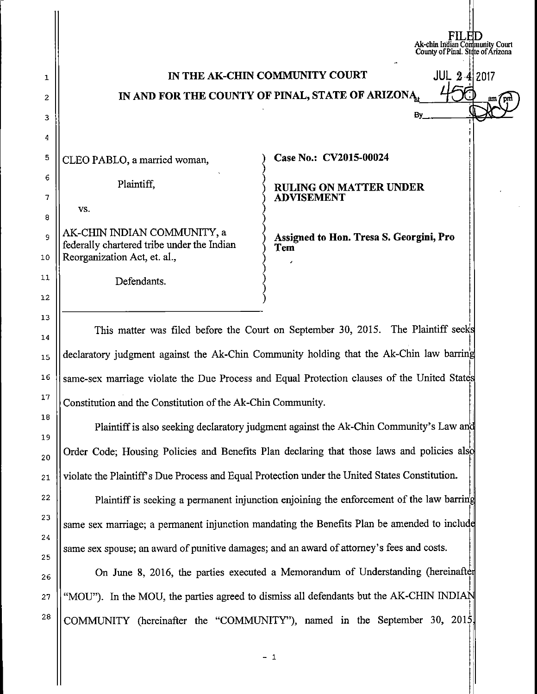## IN THE AK-CHIN COMMUNITY COURT  $JUL$  2.4 2017 IN AND FOR THE COUNTY OF PINAL, STATE OF ARIZONA

CLEO PABLO, a married woman,

Plaintiff,

vs.

AK-CHIN INDIAN COMMUNITY, a federally chartered tribe under the Indian Reorganization Act, et. al.,

Defendants.

**Case No.: CV2015-00024** 

**RULING ON MATTER UNDER ADVISEMENT** 

**Assigned to Hon. Tresa S. Georgini, Pro Tern** 

**FILED**<br>Ak-chin Indian Community Court<br>County of Pinal. State of Arizona

**By** 

This matter was filed before the Court on September 30, 2015. The Plaintiff seeks  $\parallel$ declaratory judgment against the Ak-Chin Community holding that the Ak-Chin law barring same-sex marriage violate the Due Process and Equal Protection clauses of the United States Constitution and the Constitution of the Ak-Chin Community.

I Plaintiff is also seeking declaratory judgment against the Ak-Chin Community's Law an Order Code; Housing Policies and Benefits Plan declaring that those laws and policies also violate the Plaintiffs Due Process and Equal Protection under the United States Constitution.

Plaintiff is seeking a permanent injunction enjoining the enforcement of the law barring same sex marriage; a permanent injunction mandating the Benefits Plan be amended to include same sex spouse; an award of punitive damages; and an award of attorney's fees and costs.

On June 8, 2016, the parties executed a Memorandum of Understanding (hereinaft "MOU"). In the MOU, the parties agreed to dismiss all defendants but the AK-CHIN INDIAN COMMUNITY (hereinafter the "COMMUNITY"), named in the September 30, 2015,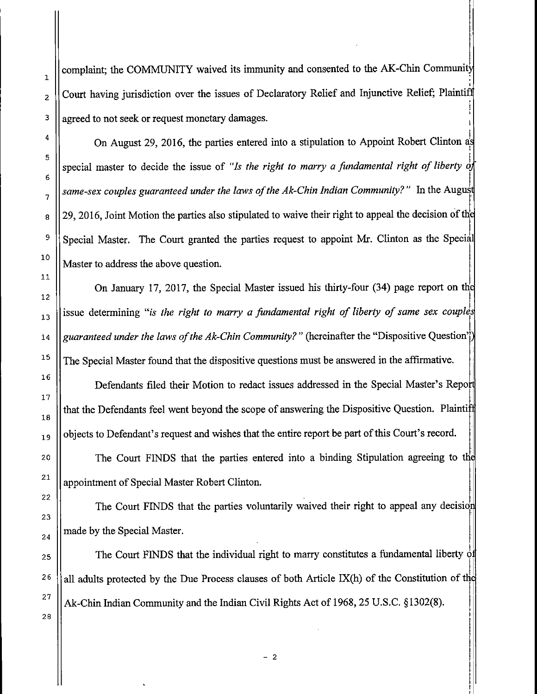complaint; the COMMUNITY waived its immunity and consented to the AK-Chin Community Court having jurisdiction over the issues of Declaratory Relief and Injunctive Relief; Plaintiff agreed to not seek or request monetary damages.

i On August 29, 2016, the parties entered into a stipulation to Appoint Robert Clinton~ special master to decide the issue of "Is the right to marry a fundamental right of liberty of same-sex couples guaranteed under the laws of the Ak-Chin Indian Community?" In the August  $\begin{bmatrix} 29 \\ 29 \\ 2016 \end{bmatrix}$ , Joint Motion the parties also stipulated to waive their right to appeal the decision of the <sup>9</sup> Special Master. The Court granted the parties request to appoint Mr. Clinton as the Special Master to address the above question.

On January 17, 2017, the Special Master issued his thirty-four (34) page report on tn ! issue determining "is the right to marry a fundamental right of liberty of same sex couples  $\prod_{i=1}^n$ *guaranteed under the laws of the Ak-Chin Community?"* (hereinafter the "Dispositive Question" The Special Master found that the dispositive questions must be answered in the affirmative.

Defendants filed their Motion to redact issues addressed in the Special Master's Repo that the Defendants feel went beyond the scope of answering the Dispositive Question. Plaintiff objects to Defendant's request and wishes that the entire report be part of this Court's record.

The Court FINDS that the parties entered into a binding Stipulation agreeing to the appointment of Special Master Robert Clinton.

The Court FINDS that the parties voluntarily waived their right to appeal any decision made by the Special Master.

The Court FINDS that the individual right to marry constitutes a fundamental liberty  $\phi$ all adults protected by the Due Process clauses of both Article IX $(h)$  of the Constitution of the Ak-Chin Indian Community and the Indian Civil Rights Act of 1968, 25 U.S.C. § 1302(8). <sup>1</sup> i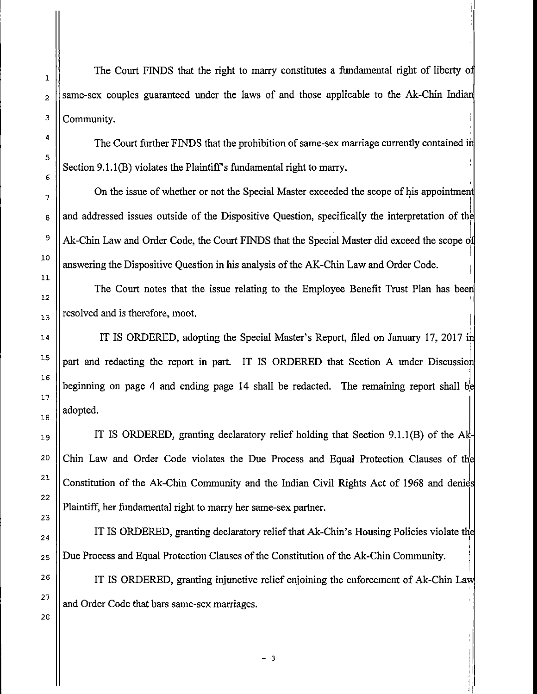The Court FINDS that the right to marry constitutes a fundamental right of liberty o same-sex couples guaranteed under the laws of and those applicable to the Ak-Chin Indian Community.

11 '

The Court further FINDS that the prohibition of same-sex marriage currently contained in Section  $9.1.1(B)$  violates the Plaintiff's fundamental right to marry.

On the issue of whether or not the Special Master exceeded the scope of his appointmen and addressed issues outside of the Dispositive Question, specifically the interpretation of the Ak-Chin Law and Order Code, the Court FINDS that the Special Master did exceed the scope of  $\mathbb{I}$ answering the Dispositive Question in his analysis of the AK-Chin Law and Order Code.

The Court notes that the issue relating to the Employee Benefit Trust Plan has been resolved and is therefore, moot.  $\prod_{i=1}^n$ 

IT IS ORDERED, adopting the Special Master's Report, filed on January 17, 2017 i 1 part and redacting the report in part. IT IS ORDERED that Section A under Discussion beginning on page 4 and ending page 14 shall be redacted. The remaining report shall be  $\mathbf{a}$ dopted.

IT IS ORDERED, granting declaratory relief holding that Section 9.1.1(B) of the  $Ak$ Chin Law and Order Code violates the Due Process and Equal Protection Clauses of the Constitution of the Ak-Chin Community and the Indian Civil Rights Act of 1968 and denies Plaintiff, her fundamental right to marry her same-sex partner.

IT IS ORDERED, granting declaratory relief that Ak-Chin's Housing Policies violate the I Due Process and Equal Protection Clauses of the Constitution of the Ak-Chin Community.

IT IS ORDERED, granting injunctive relief enjoining the enforcement of Ak-Chin Lav and Order Code that bars same-sex marriages.

I '